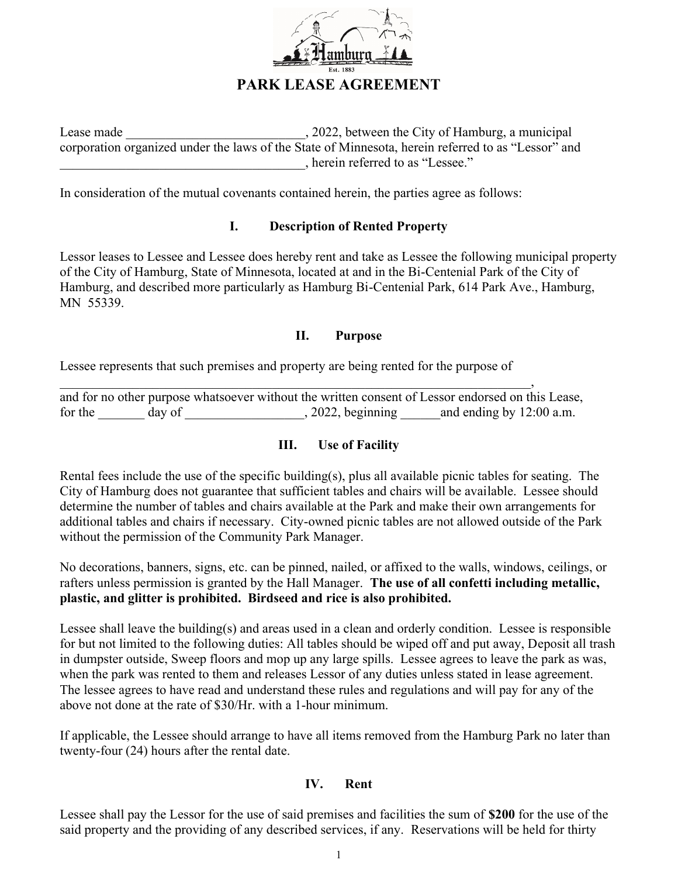

Lease made \_\_\_\_\_\_\_\_\_\_\_\_\_\_\_\_\_\_\_\_\_\_, 2022, between the City of Hamburg, a municipal corporation organized under the laws of the State of Minnesota, herein referred to as "Lessor" and \_\_\_\_\_\_\_\_\_\_\_\_\_\_\_\_\_\_\_\_\_\_\_\_\_\_\_\_\_\_\_\_\_\_\_\_\_, herein referred to as "Lessee."

In consideration of the mutual covenants contained herein, the parties agree as follows:

## **I. Description of Rented Property**

Lessor leases to Lessee and Lessee does hereby rent and take as Lessee the following municipal property of the City of Hamburg, State of Minnesota, located at and in the Bi-Centenial Park of the City of Hamburg, and described more particularly as Hamburg Bi-Centenial Park, 614 Park Ave., Hamburg, MN 55339.

## **II. Purpose**

Lessee represents that such premises and property are being rented for the purpose of

 $\overline{\phantom{a}}$  , and the contract of the contract of the contract of the contract of the contract of the contract of the contract of the contract of the contract of the contract of the contract of the contract of the contrac and for no other purpose whatsoever without the written consent of Lessor endorsed on this Lease, for the  $\frac{1}{2022}$ , beginning  $\frac{1}{2022}$ , beginning and ending by 12:00 a.m.

# **III. Use of Facility**

Rental fees include the use of the specific building(s), plus all available picnic tables for seating. The City of Hamburg does not guarantee that sufficient tables and chairs will be available. Lessee should determine the number of tables and chairs available at the Park and make their own arrangements for additional tables and chairs if necessary. City-owned picnic tables are not allowed outside of the Park without the permission of the Community Park Manager.

No decorations, banners, signs, etc. can be pinned, nailed, or affixed to the walls, windows, ceilings, or rafters unless permission is granted by the Hall Manager. **The use of all confetti including metallic, plastic, and glitter is prohibited. Birdseed and rice is also prohibited.**

Lessee shall leave the building(s) and areas used in a clean and orderly condition. Lessee is responsible for but not limited to the following duties: All tables should be wiped off and put away, Deposit all trash in dumpster outside, Sweep floors and mop up any large spills. Lessee agrees to leave the park as was, when the park was rented to them and releases Lessor of any duties unless stated in lease agreement. The lessee agrees to have read and understand these rules and regulations and will pay for any of the above not done at the rate of \$30/Hr. with a 1-hour minimum.

If applicable, the Lessee should arrange to have all items removed from the Hamburg Park no later than twenty-four (24) hours after the rental date.

# **IV. Rent**

Lessee shall pay the Lessor for the use of said premises and facilities the sum of **\$200** for the use of the said property and the providing of any described services, if any. Reservations will be held for thirty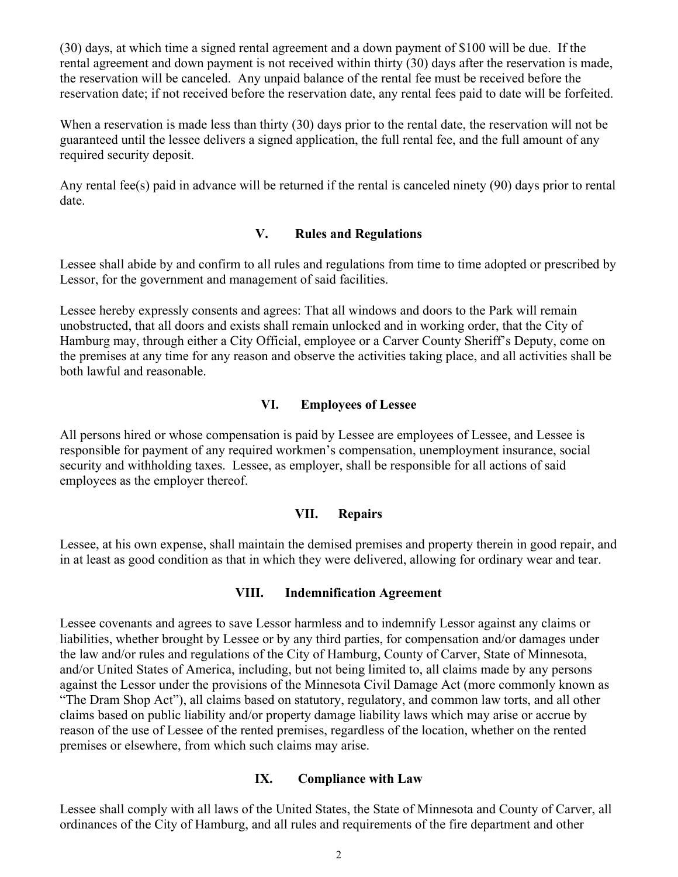(30) days, at which time a signed rental agreement and a down payment of \$100 will be due. If the rental agreement and down payment is not received within thirty (30) days after the reservation is made, the reservation will be canceled. Any unpaid balance of the rental fee must be received before the reservation date; if not received before the reservation date, any rental fees paid to date will be forfeited.

When a reservation is made less than thirty (30) days prior to the rental date, the reservation will not be guaranteed until the lessee delivers a signed application, the full rental fee, and the full amount of any required security deposit.

Any rental fee(s) paid in advance will be returned if the rental is canceled ninety (90) days prior to rental date.

### **V. Rules and Regulations**

Lessee shall abide by and confirm to all rules and regulations from time to time adopted or prescribed by Lessor, for the government and management of said facilities.

Lessee hereby expressly consents and agrees: That all windows and doors to the Park will remain unobstructed, that all doors and exists shall remain unlocked and in working order, that the City of Hamburg may, through either a City Official, employee or a Carver County Sheriff's Deputy, come on the premises at any time for any reason and observe the activities taking place, and all activities shall be both lawful and reasonable.

#### **VI. Employees of Lessee**

All persons hired or whose compensation is paid by Lessee are employees of Lessee, and Lessee is responsible for payment of any required workmen's compensation, unemployment insurance, social security and withholding taxes. Lessee, as employer, shall be responsible for all actions of said employees as the employer thereof.

### **VII. Repairs**

Lessee, at his own expense, shall maintain the demised premises and property therein in good repair, and in at least as good condition as that in which they were delivered, allowing for ordinary wear and tear.

#### **VIII. Indemnification Agreement**

Lessee covenants and agrees to save Lessor harmless and to indemnify Lessor against any claims or liabilities, whether brought by Lessee or by any third parties, for compensation and/or damages under the law and/or rules and regulations of the City of Hamburg, County of Carver, State of Minnesota, and/or United States of America, including, but not being limited to, all claims made by any persons against the Lessor under the provisions of the Minnesota Civil Damage Act (more commonly known as "The Dram Shop Act"), all claims based on statutory, regulatory, and common law torts, and all other claims based on public liability and/or property damage liability laws which may arise or accrue by reason of the use of Lessee of the rented premises, regardless of the location, whether on the rented premises or elsewhere, from which such claims may arise.

### **IX. Compliance with Law**

Lessee shall comply with all laws of the United States, the State of Minnesota and County of Carver, all ordinances of the City of Hamburg, and all rules and requirements of the fire department and other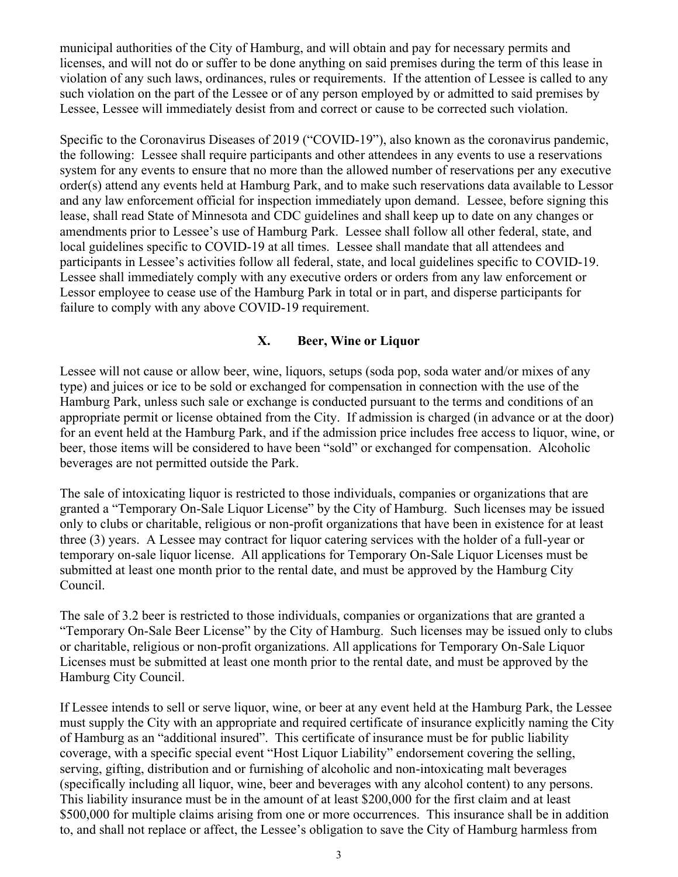municipal authorities of the City of Hamburg, and will obtain and pay for necessary permits and licenses, and will not do or suffer to be done anything on said premises during the term of this lease in violation of any such laws, ordinances, rules or requirements. If the attention of Lessee is called to any such violation on the part of the Lessee or of any person employed by or admitted to said premises by Lessee, Lessee will immediately desist from and correct or cause to be corrected such violation.

Specific to the Coronavirus Diseases of 2019 ("COVID-19"), also known as the coronavirus pandemic, the following: Lessee shall require participants and other attendees in any events to use a reservations system for any events to ensure that no more than the allowed number of reservations per any executive order(s) attend any events held at Hamburg Park, and to make such reservations data available to Lessor and any law enforcement official for inspection immediately upon demand. Lessee, before signing this lease, shall read State of Minnesota and CDC guidelines and shall keep up to date on any changes or amendments prior to Lessee's use of Hamburg Park. Lessee shall follow all other federal, state, and local guidelines specific to COVID-19 at all times. Lessee shall mandate that all attendees and participants in Lessee's activities follow all federal, state, and local guidelines specific to COVID-19. Lessee shall immediately comply with any executive orders or orders from any law enforcement or Lessor employee to cease use of the Hamburg Park in total or in part, and disperse participants for failure to comply with any above COVID-19 requirement.

# **X. Beer, Wine or Liquor**

Lessee will not cause or allow beer, wine, liquors, setups (soda pop, soda water and/or mixes of any type) and juices or ice to be sold or exchanged for compensation in connection with the use of the Hamburg Park, unless such sale or exchange is conducted pursuant to the terms and conditions of an appropriate permit or license obtained from the City. If admission is charged (in advance or at the door) for an event held at the Hamburg Park, and if the admission price includes free access to liquor, wine, or beer, those items will be considered to have been "sold" or exchanged for compensation. Alcoholic beverages are not permitted outside the Park.

The sale of intoxicating liquor is restricted to those individuals, companies or organizations that are granted a "Temporary On-Sale Liquor License" by the City of Hamburg. Such licenses may be issued only to clubs or charitable, religious or non-profit organizations that have been in existence for at least three (3) years. A Lessee may contract for liquor catering services with the holder of a full-year or temporary on-sale liquor license. All applications for Temporary On-Sale Liquor Licenses must be submitted at least one month prior to the rental date, and must be approved by the Hamburg City Council.

The sale of 3.2 beer is restricted to those individuals, companies or organizations that are granted a "Temporary On-Sale Beer License" by the City of Hamburg. Such licenses may be issued only to clubs or charitable, religious or non-profit organizations. All applications for Temporary On-Sale Liquor Licenses must be submitted at least one month prior to the rental date, and must be approved by the Hamburg City Council.

If Lessee intends to sell or serve liquor, wine, or beer at any event held at the Hamburg Park, the Lessee must supply the City with an appropriate and required certificate of insurance explicitly naming the City of Hamburg as an "additional insured". This certificate of insurance must be for public liability coverage, with a specific special event "Host Liquor Liability" endorsement covering the selling, serving, gifting, distribution and or furnishing of alcoholic and non-intoxicating malt beverages (specifically including all liquor, wine, beer and beverages with any alcohol content) to any persons. This liability insurance must be in the amount of at least \$200,000 for the first claim and at least \$500,000 for multiple claims arising from one or more occurrences. This insurance shall be in addition to, and shall not replace or affect, the Lessee's obligation to save the City of Hamburg harmless from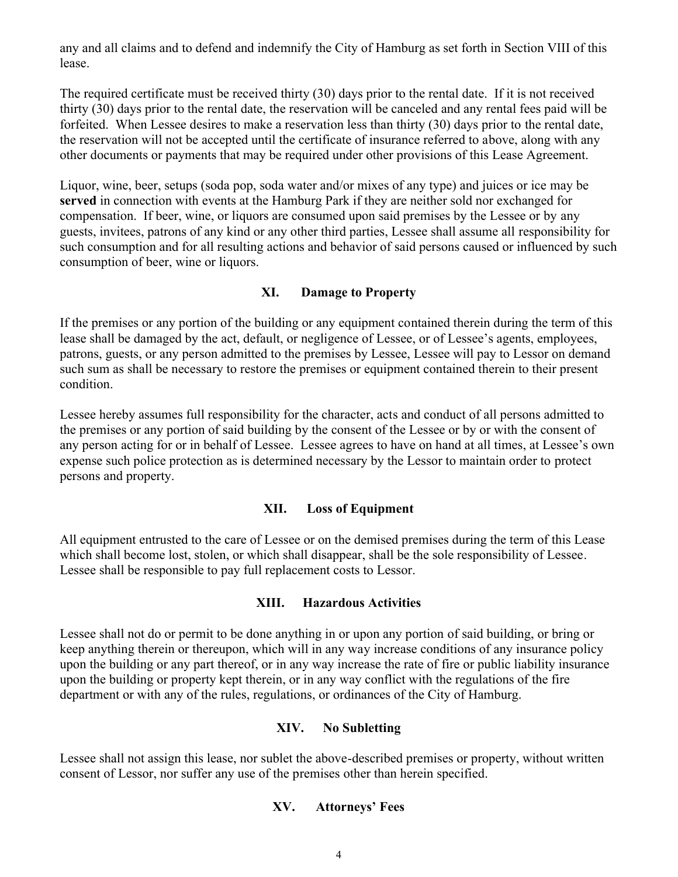any and all claims and to defend and indemnify the City of Hamburg as set forth in Section VIII of this lease.

The required certificate must be received thirty (30) days prior to the rental date. If it is not received thirty (30) days prior to the rental date, the reservation will be canceled and any rental fees paid will be forfeited. When Lessee desires to make a reservation less than thirty (30) days prior to the rental date, the reservation will not be accepted until the certificate of insurance referred to above, along with any other documents or payments that may be required under other provisions of this Lease Agreement.

Liquor, wine, beer, setups (soda pop, soda water and/or mixes of any type) and juices or ice may be **served** in connection with events at the Hamburg Park if they are neither sold nor exchanged for compensation. If beer, wine, or liquors are consumed upon said premises by the Lessee or by any guests, invitees, patrons of any kind or any other third parties, Lessee shall assume all responsibility for such consumption and for all resulting actions and behavior of said persons caused or influenced by such consumption of beer, wine or liquors.

## **XI. Damage to Property**

If the premises or any portion of the building or any equipment contained therein during the term of this lease shall be damaged by the act, default, or negligence of Lessee, or of Lessee's agents, employees, patrons, guests, or any person admitted to the premises by Lessee, Lessee will pay to Lessor on demand such sum as shall be necessary to restore the premises or equipment contained therein to their present condition.

Lessee hereby assumes full responsibility for the character, acts and conduct of all persons admitted to the premises or any portion of said building by the consent of the Lessee or by or with the consent of any person acting for or in behalf of Lessee. Lessee agrees to have on hand at all times, at Lessee's own expense such police protection as is determined necessary by the Lessor to maintain order to protect persons and property.

#### **XII. Loss of Equipment**

All equipment entrusted to the care of Lessee or on the demised premises during the term of this Lease which shall become lost, stolen, or which shall disappear, shall be the sole responsibility of Lessee. Lessee shall be responsible to pay full replacement costs to Lessor.

### **XIII. Hazardous Activities**

Lessee shall not do or permit to be done anything in or upon any portion of said building, or bring or keep anything therein or thereupon, which will in any way increase conditions of any insurance policy upon the building or any part thereof, or in any way increase the rate of fire or public liability insurance upon the building or property kept therein, or in any way conflict with the regulations of the fire department or with any of the rules, regulations, or ordinances of the City of Hamburg.

#### **XIV. No Subletting**

Lessee shall not assign this lease, nor sublet the above-described premises or property, without written consent of Lessor, nor suffer any use of the premises other than herein specified.

#### **XV. Attorneys' Fees**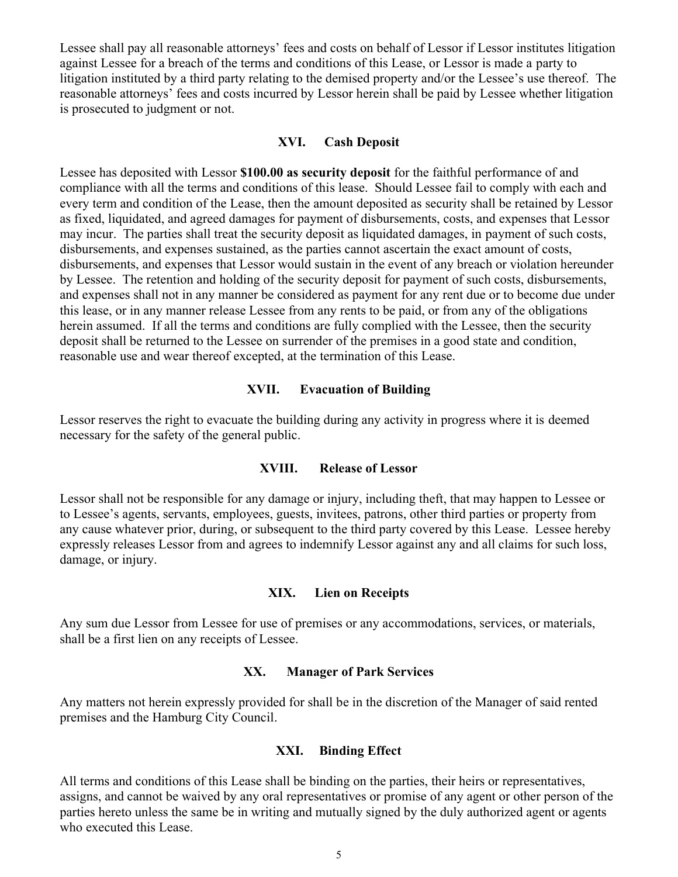Lessee shall pay all reasonable attorneys' fees and costs on behalf of Lessor if Lessor institutes litigation against Lessee for a breach of the terms and conditions of this Lease, or Lessor is made a party to litigation instituted by a third party relating to the demised property and/or the Lessee's use thereof. The reasonable attorneys' fees and costs incurred by Lessor herein shall be paid by Lessee whether litigation is prosecuted to judgment or not.

### **XVI. Cash Deposit**

Lessee has deposited with Lessor **\$100.00 as security deposit** for the faithful performance of and compliance with all the terms and conditions of this lease. Should Lessee fail to comply with each and every term and condition of the Lease, then the amount deposited as security shall be retained by Lessor as fixed, liquidated, and agreed damages for payment of disbursements, costs, and expenses that Lessor may incur. The parties shall treat the security deposit as liquidated damages, in payment of such costs, disbursements, and expenses sustained, as the parties cannot ascertain the exact amount of costs, disbursements, and expenses that Lessor would sustain in the event of any breach or violation hereunder by Lessee. The retention and holding of the security deposit for payment of such costs, disbursements, and expenses shall not in any manner be considered as payment for any rent due or to become due under this lease, or in any manner release Lessee from any rents to be paid, or from any of the obligations herein assumed. If all the terms and conditions are fully complied with the Lessee, then the security deposit shall be returned to the Lessee on surrender of the premises in a good state and condition, reasonable use and wear thereof excepted, at the termination of this Lease.

### **XVII. Evacuation of Building**

Lessor reserves the right to evacuate the building during any activity in progress where it is deemed necessary for the safety of the general public.

#### **XVIII. Release of Lessor**

Lessor shall not be responsible for any damage or injury, including theft, that may happen to Lessee or to Lessee's agents, servants, employees, guests, invitees, patrons, other third parties or property from any cause whatever prior, during, or subsequent to the third party covered by this Lease. Lessee hereby expressly releases Lessor from and agrees to indemnify Lessor against any and all claims for such loss, damage, or injury.

#### **XIX. Lien on Receipts**

Any sum due Lessor from Lessee for use of premises or any accommodations, services, or materials, shall be a first lien on any receipts of Lessee.

#### **XX. Manager of Park Services**

Any matters not herein expressly provided for shall be in the discretion of the Manager of said rented premises and the Hamburg City Council.

### **XXI. Binding Effect**

All terms and conditions of this Lease shall be binding on the parties, their heirs or representatives, assigns, and cannot be waived by any oral representatives or promise of any agent or other person of the parties hereto unless the same be in writing and mutually signed by the duly authorized agent or agents who executed this Lease.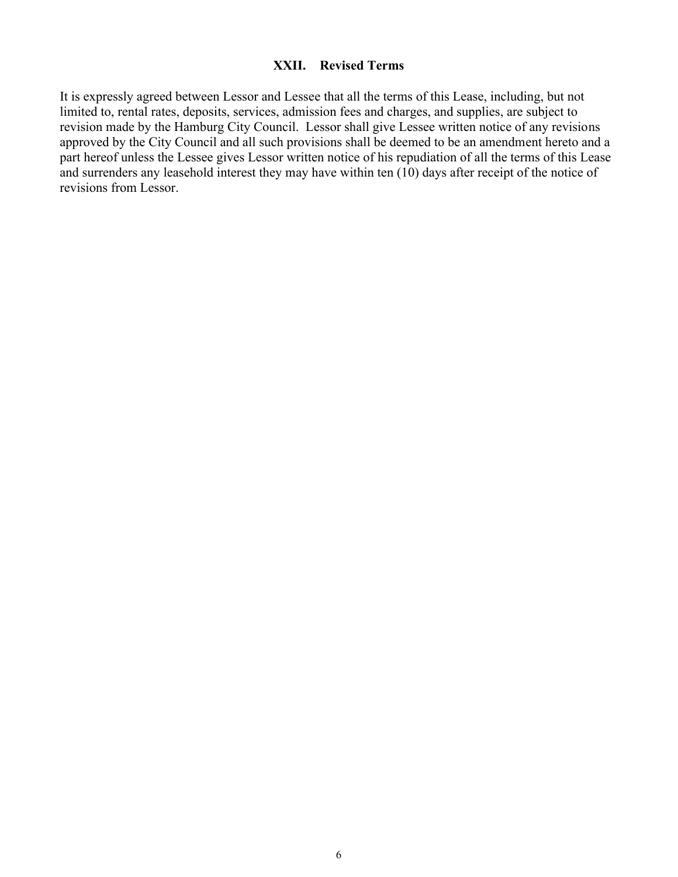#### **XXII. Revised Terms**

It is expressly agreed between Lessor and Lessee that all the terms of this Lease, including, but not limited to, rental rates, deposits, services, admission fees and charges, and supplies, are subject to revision made by the Hamburg City Council. Lessor shall give Lessee written notice of any revisions approved by the City Council and all such provisions shall be deemed to be an amendment hereto and a part hereof unless the Lessee gives Lessor written notice of his repudiation of all the terms of this Lease and surrenders any leasehold interest they may have within ten (10) days after receipt of the notice of revisions from Lessor.